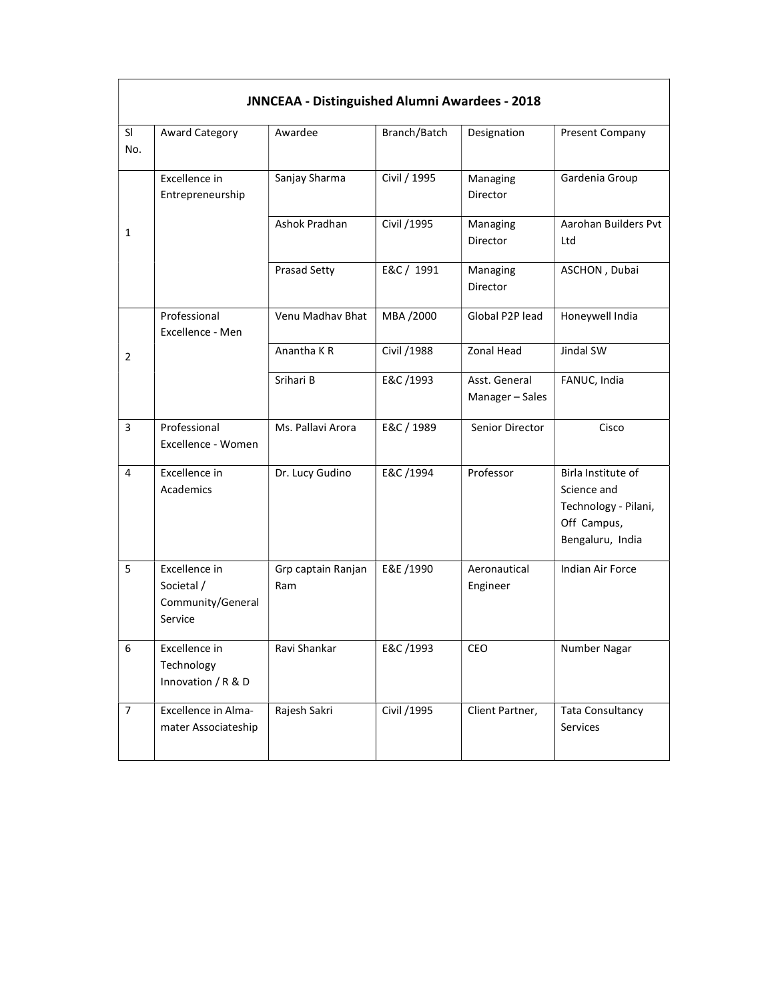| <b>JNNCEAA - Distinguished Alumni Awardees - 2018</b> |                                                             |                           |              |                                |                                                                                              |  |  |  |  |
|-------------------------------------------------------|-------------------------------------------------------------|---------------------------|--------------|--------------------------------|----------------------------------------------------------------------------------------------|--|--|--|--|
| SI<br>No.                                             | Award Category                                              | Awardee                   | Branch/Batch | Designation                    | <b>Present Company</b>                                                                       |  |  |  |  |
|                                                       | Excellence in<br>Entrepreneurship                           | Sanjay Sharma             | Civil / 1995 | Managing<br>Director           | Gardenia Group                                                                               |  |  |  |  |
| 1                                                     |                                                             | Ashok Pradhan             | Civil /1995  | Managing<br>Director           | Aarohan Builders Pvt<br>Ltd                                                                  |  |  |  |  |
|                                                       |                                                             | <b>Prasad Setty</b>       | E&C / 1991   | Managing<br>Director           | ASCHON, Dubai                                                                                |  |  |  |  |
|                                                       | Professional<br>Excellence - Men                            | Venu Madhav Bhat          | MBA /2000    | Global P2P lead                | Honeywell India                                                                              |  |  |  |  |
| $\overline{2}$                                        |                                                             | Anantha K R               | Civil /1988  | Zonal Head                     | Jindal SW                                                                                    |  |  |  |  |
|                                                       |                                                             | Srihari B                 | E&C /1993    | Asst. General<br>Manager-Sales | FANUC, India                                                                                 |  |  |  |  |
| 3                                                     | Professional<br>Excellence - Women                          | Ms. Pallavi Arora         | E&C / 1989   | Senior Director                | Cisco                                                                                        |  |  |  |  |
| 4                                                     | Excellence in<br>Academics                                  | Dr. Lucy Gudino           | E&C /1994    | Professor                      | Birla Institute of<br>Science and<br>Technology - Pilani,<br>Off Campus,<br>Bengaluru, India |  |  |  |  |
| 5                                                     | Excellence in<br>Societal /<br>Community/General<br>Service | Grp captain Ranjan<br>Ram | E&E /1990    | Aeronautical<br>Engineer       | Indian Air Force                                                                             |  |  |  |  |
| 6                                                     | Excellence in<br>Technology<br>Innovation / R & D           | Ravi Shankar              | E&C /1993    | CEO                            | Number Nagar                                                                                 |  |  |  |  |
| $\overline{7}$                                        | Excellence in Alma-<br>mater Associateship                  | Rajesh Sakri              | Civil /1995  | Client Partner,                | <b>Tata Consultancy</b><br>Services                                                          |  |  |  |  |

 $\Gamma$